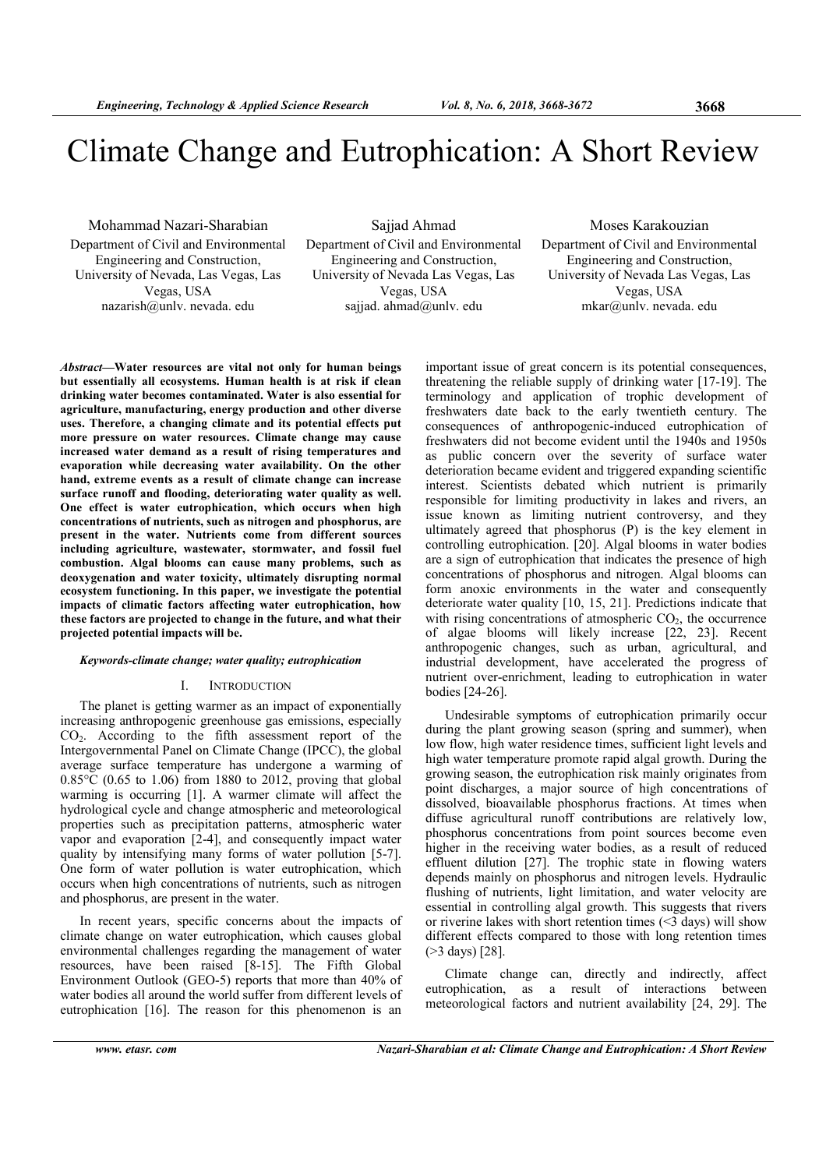# Climate Change and Eutrophication: A Short Review

Mohammad Nazari-Sharabian Department of Civil and Environmental Engineering and Construction, University of Nevada, Las Vegas, Las Vegas, USA nazarish@unlv. nevada. edu

Sajjad Ahmad Department of Civil and Environmental Engineering and Construction, University of Nevada Las Vegas, Las Vegas, USA

sajjad. ahmad@unlv. edu

Moses Karakouzian Department of Civil and Environmental Engineering and Construction, University of Nevada Las Vegas, Las Vegas, USA mkar@unlv. nevada. edu

Abstract—Water resources are vital not only for human beings but essentially all ecosystems. Human health is at risk if clean drinking water becomes contaminated. Water is also essential for agriculture, manufacturing, energy production and other diverse uses. Therefore, a changing climate and its potential effects put more pressure on water resources. Climate change may cause increased water demand as a result of rising temperatures and evaporation while decreasing water availability. On the other hand, extreme events as a result of climate change can increase surface runoff and flooding, deteriorating water quality as well. One effect is water eutrophication, which occurs when high concentrations of nutrients, such as nitrogen and phosphorus, are present in the water. Nutrients come from different sources including agriculture, wastewater, stormwater, and fossil fuel combustion. Algal blooms can cause many problems, such as deoxygenation and water toxicity, ultimately disrupting normal ecosystem functioning. In this paper, we investigate the potential impacts of climatic factors affecting water eutrophication, how these factors are projected to change in the future, and what their projected potential impacts will be.

# Keywords-climate change; water quality; eutrophication

#### I. INTRODUCTION

The planet is getting warmer as an impact of exponentially increasing anthropogenic greenhouse gas emissions, especially CO2. According to the fifth assessment report of the Intergovernmental Panel on Climate Change (IPCC), the global average surface temperature has undergone a warming of  $0.85^{\circ}$ C (0.65 to 1.06) from 1880 to 2012, proving that global warming is occurring [1]. A warmer climate will affect the hydrological cycle and change atmospheric and meteorological properties such as precipitation patterns, atmospheric water vapor and evaporation [2-4], and consequently impact water quality by intensifying many forms of water pollution [5-7]. One form of water pollution is water eutrophication, which occurs when high concentrations of nutrients, such as nitrogen and phosphorus, are present in the water.

In recent years, specific concerns about the impacts of climate change on water eutrophication, which causes global environmental challenges regarding the management of water resources, have been raised [8-15]. The Fifth Global Environment Outlook (GEO-5) reports that more than 40% of water bodies all around the world suffer from different levels of eutrophication [16]. The reason for this phenomenon is an

important issue of great concern is its potential consequences, threatening the reliable supply of drinking water [17-19]. The terminology and application of trophic development of freshwaters date back to the early twentieth century. The consequences of anthropogenic-induced eutrophication of freshwaters did not become evident until the 1940s and 1950s as public concern over the severity of surface water deterioration became evident and triggered expanding scientific interest. Scientists debated which nutrient is primarily responsible for limiting productivity in lakes and rivers, an issue known as limiting nutrient controversy, and they ultimately agreed that phosphorus (P) is the key element in controlling eutrophication. [20]. Algal blooms in water bodies are a sign of eutrophication that indicates the presence of high concentrations of phosphorus and nitrogen. Algal blooms can form anoxic environments in the water and consequently deteriorate water quality [10, 15, 21]. Predictions indicate that with rising concentrations of atmospheric  $CO<sub>2</sub>$ , the occurrence of algae blooms will likely increase [22, 23]. Recent anthropogenic changes, such as urban, agricultural, and industrial development, have accelerated the progress of nutrient over-enrichment, leading to eutrophication in water bodies [24-26].

Undesirable symptoms of eutrophication primarily occur during the plant growing season (spring and summer), when low flow, high water residence times, sufficient light levels and high water temperature promote rapid algal growth. During the growing season, the eutrophication risk mainly originates from point discharges, a major source of high concentrations of dissolved, bioavailable phosphorus fractions. At times when diffuse agricultural runoff contributions are relatively low, phosphorus concentrations from point sources become even higher in the receiving water bodies, as a result of reduced effluent dilution [27]. The trophic state in flowing waters depends mainly on phosphorus and nitrogen levels. Hydraulic flushing of nutrients, light limitation, and water velocity are essential in controlling algal growth. This suggests that rivers or riverine lakes with short retention times  $(\leq 3 \text{ days})$  will show different effects compared to those with long retention times (>3 days) [28].

Climate change can, directly and indirectly, affect eutrophication, as a result of interactions between meteorological factors and nutrient availability [24, 29]. The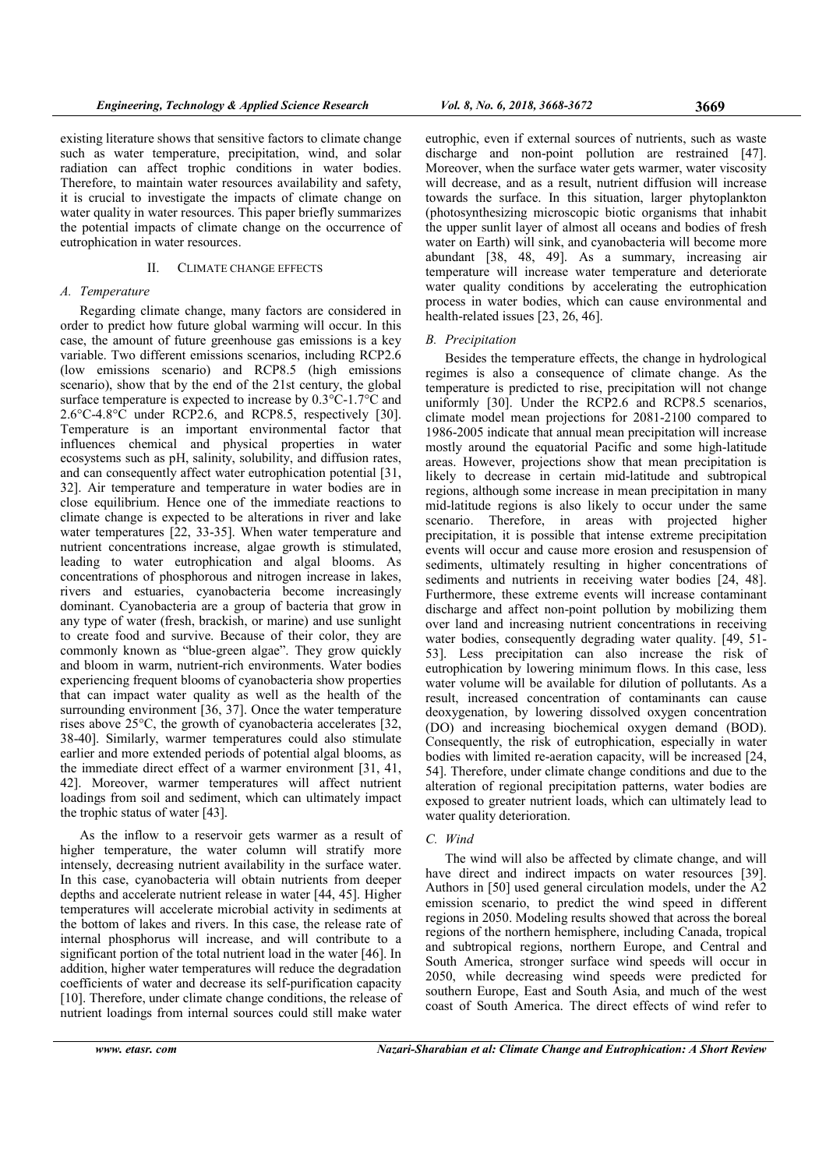existing literature shows that sensitive factors to climate change such as water temperature, precipitation, wind, and solar radiation can affect trophic conditions in water bodies. Therefore, to maintain water resources availability and safety, it is crucial to investigate the impacts of climate change on water quality in water resources. This paper briefly summarizes the potential impacts of climate change on the occurrence of eutrophication in water resources.

# II. CLIMATE CHANGE EFFECTS

# A. Temperature

Regarding climate change, many factors are considered in order to predict how future global warming will occur. In this case, the amount of future greenhouse gas emissions is a key variable. Two different emissions scenarios, including RCP2.6 (low emissions scenario) and RCP8.5 (high emissions scenario), show that by the end of the 21st century, the global surface temperature is expected to increase by 0.3°C-1.7°C and 2.6°C-4.8°C under RCP2.6, and RCP8.5, respectively [30]. Temperature is an important environmental factor that influences chemical and physical properties in water ecosystems such as pH, salinity, solubility, and diffusion rates, and can consequently affect water eutrophication potential [31, 32]. Air temperature and temperature in water bodies are in close equilibrium. Hence one of the immediate reactions to climate change is expected to be alterations in river and lake water temperatures [22, 33-35]. When water temperature and nutrient concentrations increase, algae growth is stimulated, leading to water eutrophication and algal blooms. As concentrations of phosphorous and nitrogen increase in lakes, rivers and estuaries, cyanobacteria become increasingly dominant. Cyanobacteria are a group of bacteria that grow in any type of water (fresh, brackish, or marine) and use sunlight to create food and survive. Because of their color, they are commonly known as "blue-green algae". They grow quickly and bloom in warm, nutrient-rich environments. Water bodies experiencing frequent blooms of cyanobacteria show properties that can impact water quality as well as the health of the surrounding environment [36, 37]. Once the water temperature rises above 25°C, the growth of cyanobacteria accelerates [32, 38-40]. Similarly, warmer temperatures could also stimulate earlier and more extended periods of potential algal blooms, as the immediate direct effect of a warmer environment [31, 41, 42]. Moreover, warmer temperatures will affect nutrient loadings from soil and sediment, which can ultimately impact the trophic status of water [43].

As the inflow to a reservoir gets warmer as a result of higher temperature, the water column will stratify more intensely, decreasing nutrient availability in the surface water. In this case, cyanobacteria will obtain nutrients from deeper depths and accelerate nutrient release in water [44, 45]. Higher temperatures will accelerate microbial activity in sediments at the bottom of lakes and rivers. In this case, the release rate of internal phosphorus will increase, and will contribute to a significant portion of the total nutrient load in the water [46]. In addition, higher water temperatures will reduce the degradation coefficients of water and decrease its self-purification capacity [10]. Therefore, under climate change conditions, the release of nutrient loadings from internal sources could still make water

eutrophic, even if external sources of nutrients, such as waste discharge and non-point pollution are restrained [47]. Moreover, when the surface water gets warmer, water viscosity will decrease, and as a result, nutrient diffusion will increase towards the surface. In this situation, larger phytoplankton (photosynthesizing microscopic biotic organisms that inhabit the upper sunlit layer of almost all oceans and bodies of fresh water on Earth) will sink, and cyanobacteria will become more abundant [38, 48, 49]. As a summary, increasing air temperature will increase water temperature and deteriorate water quality conditions by accelerating the eutrophication process in water bodies, which can cause environmental and health-related issues [23, 26, 46].

# B. Precipitation

Besides the temperature effects, the change in hydrological regimes is also a consequence of climate change. As the temperature is predicted to rise, precipitation will not change uniformly [30]. Under the RCP2.6 and RCP8.5 scenarios, climate model mean projections for 2081-2100 compared to 1986-2005 indicate that annual mean precipitation will increase mostly around the equatorial Pacific and some high-latitude areas. However, projections show that mean precipitation is likely to decrease in certain mid-latitude and subtropical regions, although some increase in mean precipitation in many mid-latitude regions is also likely to occur under the same scenario. Therefore, in areas with projected higher precipitation, it is possible that intense extreme precipitation events will occur and cause more erosion and resuspension of sediments, ultimately resulting in higher concentrations of sediments and nutrients in receiving water bodies [24, 48]. Furthermore, these extreme events will increase contaminant discharge and affect non-point pollution by mobilizing them over land and increasing nutrient concentrations in receiving water bodies, consequently degrading water quality. [49, 51- 53]. Less precipitation can also increase the risk of eutrophication by lowering minimum flows. In this case, less water volume will be available for dilution of pollutants. As a result, increased concentration of contaminants can cause deoxygenation, by lowering dissolved oxygen concentration (DO) and increasing biochemical oxygen demand (BOD). Consequently, the risk of eutrophication, especially in water bodies with limited re-aeration capacity, will be increased [24, 54]. Therefore, under climate change conditions and due to the alteration of regional precipitation patterns, water bodies are exposed to greater nutrient loads, which can ultimately lead to water quality deterioration.

# C. Wind

The wind will also be affected by climate change, and will have direct and indirect impacts on water resources [39]. Authors in [50] used general circulation models, under the A2 emission scenario, to predict the wind speed in different regions in 2050. Modeling results showed that across the boreal regions of the northern hemisphere, including Canada, tropical and subtropical regions, northern Europe, and Central and South America, stronger surface wind speeds will occur in 2050, while decreasing wind speeds were predicted for southern Europe, East and South Asia, and much of the west coast of South America. The direct effects of wind refer to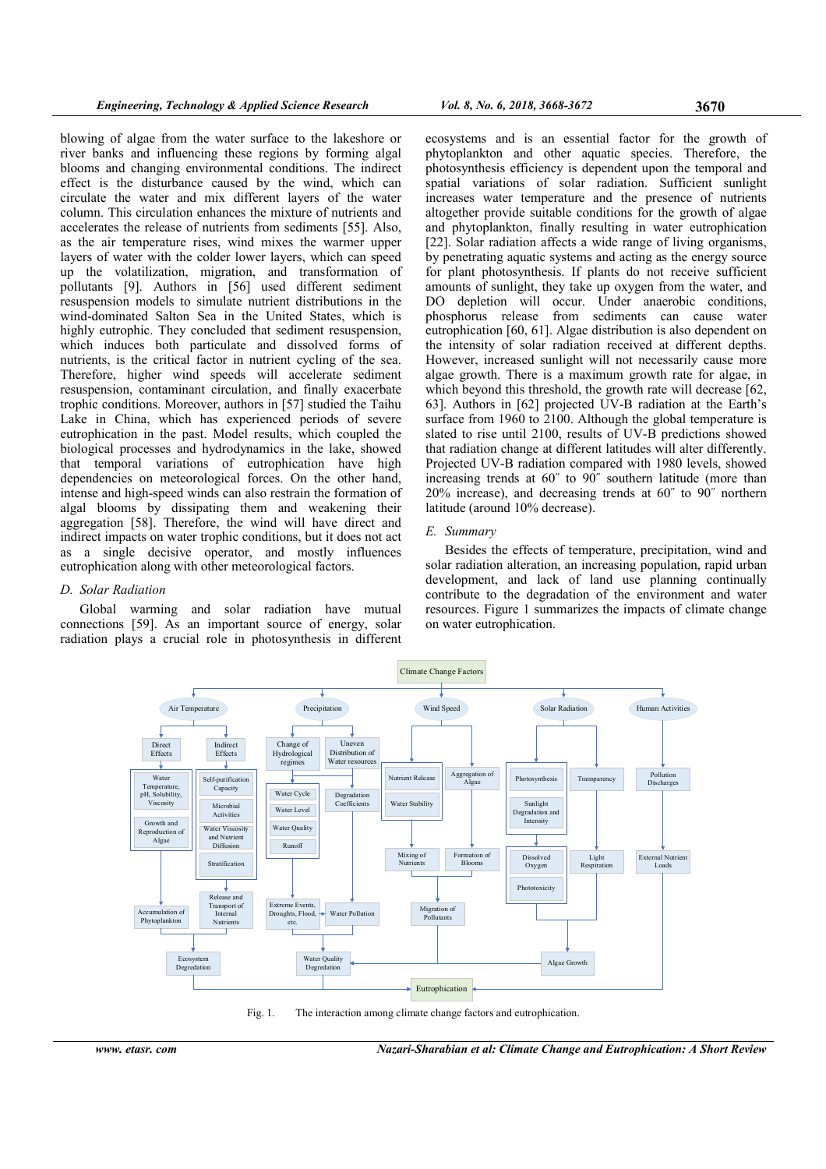blowing of algae from the water surface to the lakeshore or river banks and influencing these regions by forming algal blooms and changing environmental conditions. The indirect effect is the disturbance caused by the wind, which can circulate the water and mix different layers of the water column. This circulation enhances the mixture of nutrients and accelerates the release of nutrients from sediments [55]. Also, as the air temperature rises, wind mixes the warmer upper layers of water with the colder lower layers, which can speed up the volatilization, migration, and transformation of pollutants [9]. Authors in [56] used different sediment resuspension models to simulate nutrient distributions in the wind-dominated Salton Sea in the United States, which is highly eutrophic. They concluded that sediment resuspension, which induces both particulate and dissolved forms of nutrients, is the critical factor in nutrient cycling of the sea. Therefore, higher wind speeds will accelerate sediment resuspension, contaminant circulation, and finally exacerbate trophic conditions. Moreover, authors in [57] studied the Taihu Lake in China, which has experienced periods of severe eutrophication in the past. Model results, which coupled the biological processes and hydrodynamics in the lake, showed that temporal variations of eutrophication have high dependencies on meteorological forces. On the other hand, intense and high-speed winds can also restrain the formation of algal blooms by dissipating them and weakening their aggregation [58]. Therefore, the wind will have direct and indirect impacts on water trophic conditions, but it does not act as a single decisive operator, and mostly influences eutrophication along with other meteorological factors.

# D. Solar Radiation

Global warming and solar radiation have mutual connections [59]. As an important source of energy, solar radiation plays a crucial role in photosynthesis in different



ecosystems and is an essential factor for the growth of phytoplankton and other aquatic species. Therefore, the photosynthesis efficiency is dependent upon the temporal and spatial variations of solar radiation. Sufficient sunlight increases water temperature and the presence of nutrients altogether provide suitable conditions for the growth of algae and phytoplankton, finally resulting in water eutrophication [22]. Solar radiation affects a wide range of living organisms, by penetrating aquatic systems and acting as the energy source for plant photosynthesis. If plants do not receive sufficient amounts of sunlight, they take up oxygen from the water, and DO depletion will occur. Under anaerobic conditions, phosphorus release from sediments can cause water eutrophication [60, 61]. Algae distribution is also dependent on the intensity of solar radiation received at different depths. However, increased sunlight will not necessarily cause more algae growth. There is a maximum growth rate for algae, in which beyond this threshold, the growth rate will decrease [62, 63]. Authors in [62] projected UV-B radiation at the Earth's surface from 1960 to 2100. Although the global temperature is slated to rise until 2100, results of UV-B predictions showed that radiation change at different latitudes will alter differently. Projected UV-B radiation compared with 1980 levels, showed increasing trends at 60˝ to 90˝ southern latitude (more than 20% increase), and decreasing trends at 60˝ to 90˝ northern latitude (around 10% decrease).

#### E. Summary

Besides the effects of temperature, precipitation, wind and solar radiation alteration, an increasing population, rapid urban development, and lack of land use planning continually contribute to the degradation of the environment and water resources. Figure 1 summarizes the impacts of climate change on water eutrophication.



Fig. 1. The interaction among climate change factors and eutrophication.

www. etasr. com Nazari-Sharabian et al: Climate Change and Eutrophication: A Short Review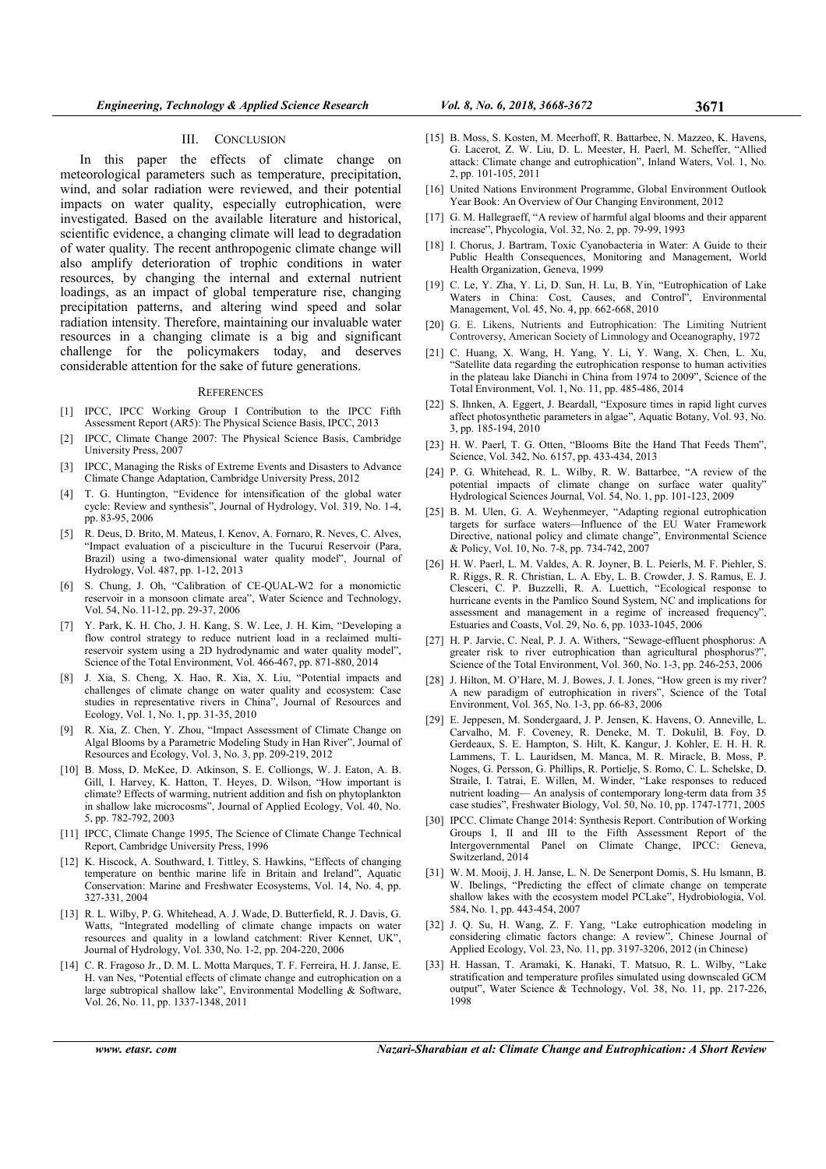### III. CONCLUSION

In this paper the effects of climate change on meteorological parameters such as temperature, precipitation, wind, and solar radiation were reviewed, and their potential impacts on water quality, especially eutrophication, were investigated. Based on the available literature and historical, scientific evidence, a changing climate will lead to degradation of water quality. The recent anthropogenic climate change will also amplify deterioration of trophic conditions in water resources, by changing the internal and external nutrient loadings, as an impact of global temperature rise, changing precipitation patterns, and altering wind speed and solar radiation intensity. Therefore, maintaining our invaluable water resources in a changing climate is a big and significant challenge for the policymakers today, and deserves considerable attention for the sake of future generations.

### **REFERENCES**

- [1] IPCC, IPCC Working Group I Contribution to the IPCC Fifth Assessment Report (AR5): The Physical Science Basis, IPCC, 2013
- [2] IPCC, Climate Change 2007: The Physical Science Basis, Cambridge University Press, 2007
- [3] IPCC, Managing the Risks of Extreme Events and Disasters to Advance Climate Change Adaptation, Cambridge University Press, 2012
- [4] T. G. Huntington, "Evidence for intensification of the global water cycle: Review and synthesis", Journal of Hydrology, Vol. 319, No. 1-4, pp. 83-95, 2006
- [5] R. Deus, D. Brito, M. Mateus, I. Kenov, A. Fornaro, R. Neves, C. Alves, "Impact evaluation of a pisciculture in the Tucuruí Reservoir (Para, Brazil) using a two-dimensional water quality model", Journal of Hydrology, Vol. 487, pp. 1-12, 2013
- [6] S. Chung, J. Oh, "Calibration of CE-QUAL-W2 for a monomictic reservoir in a monsoon climate area", Water Science and Technology, Vol. 54, No. 11-12, pp. 29-37, 2006
- [7] Y. Park, K. H. Cho, J. H. Kang, S. W. Lee, J. H. Kim, "Developing a flow control strategy to reduce nutrient load in a reclaimed multireservoir system using a 2D hydrodynamic and water quality model", Science of the Total Environment, Vol. 466-467, pp. 871-880, 2014
- [8] J. Xia, S. Cheng, X. Hao, R. Xia, X. Liu, "Potential impacts and challenges of climate change on water quality and ecosystem: Case studies in representative rivers in China", Journal of Resources and Ecology, Vol. 1, No. 1, pp. 31-35, 2010
- [9] R. Xia, Z. Chen, Y. Zhou, "Impact Assessment of Climate Change on Algal Blooms by a Parametric Modeling Study in Han River", Journal of Resources and Ecology, Vol. 3, No. 3, pp. 209-219, 2012
- [10] B. Moss, D. McKee, D. Atkinson, S. E. Colliongs, W. J. Eaton, A. B. Gill, I. Harvey, K. Hatton, T. Heyes, D. Wilson, "How important is climate? Effects of warming, nutrient addition and fish on phytoplankton in shallow lake microcosms", Journal of Applied Ecology, Vol. 40, No. 5, pp. 782-792, 2003
- [11] IPCC, Climate Change 1995, The Science of Climate Change Technical Report, Cambridge University Press, 1996
- [12] K. Hiscock, A. Southward, I. Tittley, S. Hawkins, "Effects of changing temperature on benthic marine life in Britain and Ireland", Aquatic Conservation: Marine and Freshwater Ecosystems, Vol. 14, No. 4, pp. 327-331, 2004
- [13] R. L. Wilby, P. G. Whitehead, A. J. Wade, D. Butterfield, R. J. Davis, G. Watts, "Integrated modelling of climate change impacts on water resources and quality in a lowland catchment: River Kennet, UK", Journal of Hydrology, Vol. 330, No. 1-2, pp. 204-220, 2006
- [14] C. R. Fragoso Jr., D. M. L. Motta Marques, T. F. Ferreira, H. J. Janse, E. H. van Nes, "Potential effects of climate change and eutrophication on a large subtropical shallow lake", Environmental Modelling & Software, Vol. 26, No. 11, pp. 1337-1348, 2011
- [15] B. Moss, S. Kosten, M. Meerhoff, R. Battarbee, N. Mazzeo, K. Havens, G. Lacerot, Z. W. Liu, D. L. Meester, H. Paerl, M. Scheffer, "Allied attack: Climate change and eutrophication", Inland Waters, Vol. 1, No. 2, pp. 101-105, 2011
- [16] United Nations Environment Programme, Global Environment Outlook Year Book: An Overview of Our Changing Environment, 2012
- [17] G. M. Hallegraeff, "A review of harmful algal blooms and their apparent increase", Phycologia, Vol. 32, No. 2, pp. 79-99, 1993
- [18] I. Chorus, J. Bartram, Toxic Cyanobacteria in Water: A Guide to their Public Health Consequences, Monitoring and Management, World Health Organization, Geneva, 1999
- [19] C. Le, Y. Zha, Y. Li, D. Sun, H. Lu, B. Yin, "Eutrophication of Lake Waters in China: Cost, Causes, and Control", Environmental Management, Vol. 45, No. 4, pp. 662-668, 2010
- [20] G. E. Likens, Nutrients and Eutrophication: The Limiting Nutrient Controversy, American Society of Limnology and Oceanography, 1972
- [21] C. Huang, X. Wang, H. Yang, Y. Li, Y. Wang, X. Chen, L. Xu, "Satellite data regarding the eutrophication response to human activities in the plateau lake Dianchi in China from 1974 to 2009", Science of the Total Environment, Vol. 1, No. 11, pp. 485-486, 2014
- [22] S. Ihnken, A. Eggert, J. Beardall, "Exposure times in rapid light curves affect photosynthetic parameters in algae", Aquatic Botany, Vol. 93, No. 3, pp. 185-194, 2010
- [23] H. W. Paerl, T. G. Otten, "Blooms Bite the Hand That Feeds Them", Science, Vol. 342, No. 6157, pp. 433-434, 2013
- [24] P. G. Whitehead, R. L. Wilby, R. W. Battarbee, "A review of the potential impacts of climate change on surface water quality" Hydrological Sciences Journal, Vol. 54, No. 1, pp. 101-123, 2009
- [25] B. M. Ulen, G. A. Weyhenmeyer, "Adapting regional eutrophication targets for surface waters—Influence of the EU Water Framework Directive, national policy and climate change", Environmental Science & Policy, Vol. 10, No. 7-8, pp. 734-742, 2007
- [26] H. W. Paerl, L. M. Valdes, A. R. Joyner, B. L. Peierls, M. F. Piehler, S. R. Riggs, R. R. Christian, L. A. Eby, L. B. Crowder, J. S. Ramus, E. J. Clesceri, C. P. Buzzelli, R. A. Luettich, "Ecological response to hurricane events in the Pamlico Sound System, NC and implications for assessment and management in a regime of increased frequency", Estuaries and Coasts, Vol. 29, No. 6, pp. 1033-1045, 2006
- [27] H. P. Jarvie, C. Neal, P. J. A. Withers, "Sewage-effluent phosphorus: A greater risk to river eutrophication than agricultural phosphorus?", Science of the Total Environment, Vol. 360, No. 1-3, pp. 246-253, 2006
- [28] J. Hilton, M. O'Hare, M. J. Bowes, J. I. Jones, "How green is my river? A new paradigm of eutrophication in rivers", Science of the Total Environment, Vol. 365, No. 1-3, pp. 66-83, 2006
- [29] E. Jeppesen, M. Sondergaard, J. P. Jensen, K. Havens, O. Anneville, L. Carvalho, M. F. Coveney, R. Deneke, M. T. Dokulil, B. Foy, D. Gerdeaux, S. E. Hampton, S. Hilt, K. Kangur, J. Kohler, E. H. H. R. Lammens, T. L. Lauridsen, M. Manca, M. R. Miracle, B. Moss, P. Noges, G. Persson, G. Phillips, R. Portielje, S. Romo, C. L. Schelske, D. Straile, I. Tatrai, E. Willen, M. Winder, "Lake responses to reduced nutrient loading— An analysis of contemporary long-term data from 35 case studies", Freshwater Biology, Vol. 50, No. 10, pp. 1747-1771, 2005
- [30] IPCC. Climate Change 2014: Synthesis Report. Contribution of Working Groups I, II and III to the Fifth Assessment Report of the Intergovernmental Panel on Climate Change, IPCC: Geneva, Switzerland, 2014
- [31] W. M. Mooij, J. H. Janse, L. N. De Senerpont Domis, S. Hu lsmann, B. W. Ibelings, "Predicting the effect of climate change on temperate shallow lakes with the ecosystem model PCLake", Hydrobiologia, Vol. 584, No. 1, pp. 443-454, 2007
- [32] J. Q. Su, H. Wang, Z. F. Yang, "Lake eutrophication modeling in considering climatic factors change: A review", Chinese Journal of Applied Ecology, Vol. 23, No. 11, pp. 3197-3206, 2012 (in Chinese)
- [33] H. Hassan, T. Aramaki, K. Hanaki, T. Matsuo, R. L. Wilby, "Lake stratification and temperature profiles simulated using downscaled GCM output", Water Science & Technology, Vol. 38, No. 11, pp. 217-226, 1998